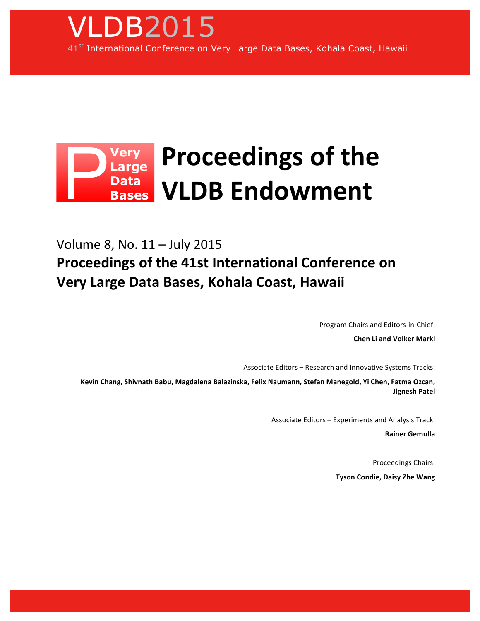

## Very Proceedings of the **Data VLDB!Endowment Bases**

Volume 8, No. 11 – July 2015 **Proceedings of the 41st International Conference on Very Large Data Bases, Kohala Coast, Hawaii** 

Program Chairs and Editors-in-Chief:

**Chen Li and Volker Markl** 

Associate Editors – Research and Innovative Systems Tracks:

Kevin Chang, Shivnath Babu, Magdalena Balazinska, Felix Naumann, Stefan Manegold, Yi Chen, Fatma Ozcan, **Jignesh!Patel**

Associate Editors – Experiments and Analysis Track:

**Rainer!Gemulla**

Proceedings Chairs: **Tyson Condie, Daisy Zhe Wang**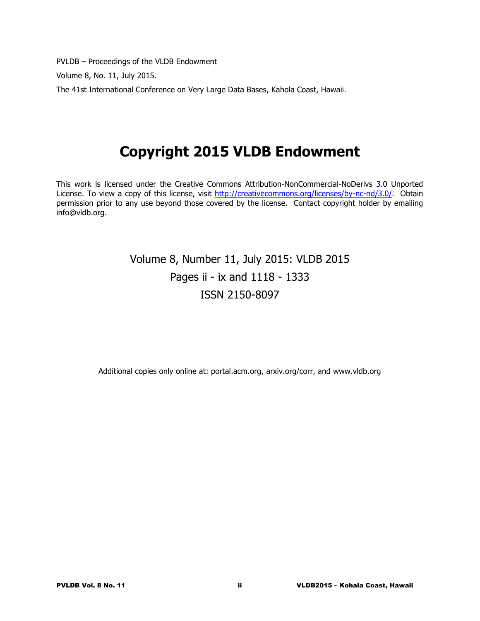PVLDB – Proceedings of the VLDB Endowment

Volume 8, No. 11, July 2015.

The 41st International Conference on Very Large Data Bases, Kahola Coast, Hawaii.

# **Copyright 2015 VLDB Endowment**

This work is licensed under the Creative Commons Attribution-NonCommercial-NoDerivs 3.0 Unported License. To view a copy of this license, visit http://creativecommons.org/licenses/by-nc-nd/3.0/. Obtain permission prior to any use beyond those covered by the license. Contact copyright holder by emailing info@vldb.org.

### Volume 8, Number 11, July 2015: VLDB 2015 Pages ii - ix and 1118 - 1333 ISSN 2150-8097

Additional copies only online at: portal.acm.org, arxiv.org/corr, and www.vldb.org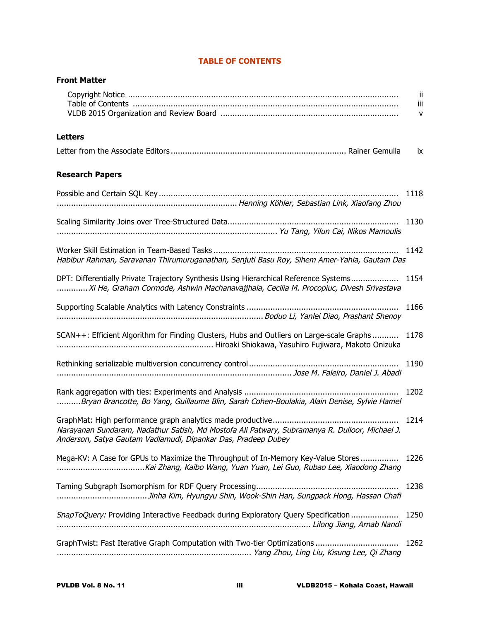| <b>Front Matter</b>                                                                                                                                                             |               |  |
|---------------------------------------------------------------------------------------------------------------------------------------------------------------------------------|---------------|--|
|                                                                                                                                                                                 | -ii<br>Ш<br>v |  |
| <b>Letters</b>                                                                                                                                                                  |               |  |
|                                                                                                                                                                                 | ÎΧ.           |  |
| <b>Research Papers</b>                                                                                                                                                          |               |  |
|                                                                                                                                                                                 | 1118          |  |
|                                                                                                                                                                                 | 1130          |  |
| Habibur Rahman, Saravanan Thirumuruganathan, Senjuti Basu Roy, Sihem Amer-Yahia, Gautam Das                                                                                     | 1142          |  |
| DPT: Differentially Private Trajectory Synthesis Using Hierarchical Reference Systems<br>Xi He, Graham Cormode, Ashwin Machanavajjhala, Cecilia M. Procopiuc, Divesh Srivastava | 1154          |  |
|                                                                                                                                                                                 | 1166          |  |
| SCAN++: Efficient Algorithm for Finding Clusters, Hubs and Outliers on Large-scale Graphs                                                                                       | 1178          |  |
|                                                                                                                                                                                 | 1190          |  |
| Bryan Brancotte, Bo Yang, Guillaume Blin, Sarah Cohen-Boulakia, Alain Denise, Sylvie Hamel                                                                                      | 1202          |  |
| Narayanan Sundaram, Nadathur Satish, Md Mostofa Ali Patwary, Subramanya R. Dulloor, Michael J.<br>Anderson, Satya Gautam Vadlamudi, Dipankar Das, Pradeep Dubey                 | 1214          |  |
| Mega-KV: A Case for GPUs to Maximize the Throughput of In-Memory Key-Value Stores<br>Kai Zhang, Kaibo Wang, Yuan Yuan, Lei Guo, Rubao Lee, Xiaodong Zhang                       | 1226          |  |
|                                                                                                                                                                                 | 1238          |  |
| SnapToQuery: Providing Interactive Feedback during Exploratory Query Specification                                                                                              | 1250          |  |
|                                                                                                                                                                                 | 1262          |  |

### **TABLE OF CONTENTS**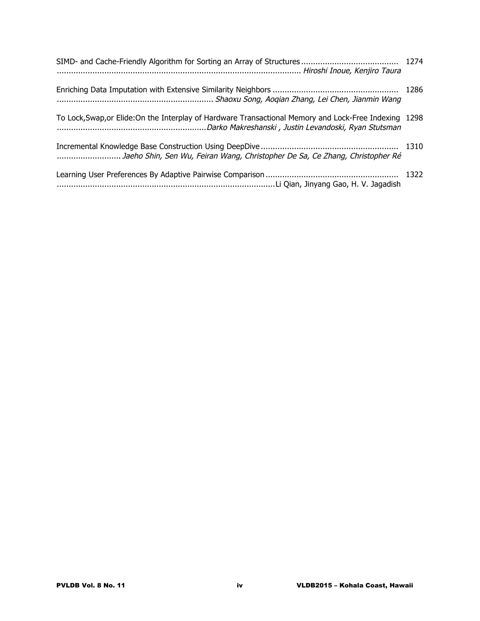| manumumumumumumumumumumumum Shaoxu Song, Aoqian Zhang, Lei Chen, Jianmin Wang                          |  |
|--------------------------------------------------------------------------------------------------------|--|
| To Lock, Swap, or Elide: On the Interplay of Hardware Transactional Memory and Lock-Free Indexing 1298 |  |
| Jaeho Shin, Sen Wu, Feiran Wang, Christopher De Sa, Ce Zhang, Christopher Ré                           |  |
|                                                                                                        |  |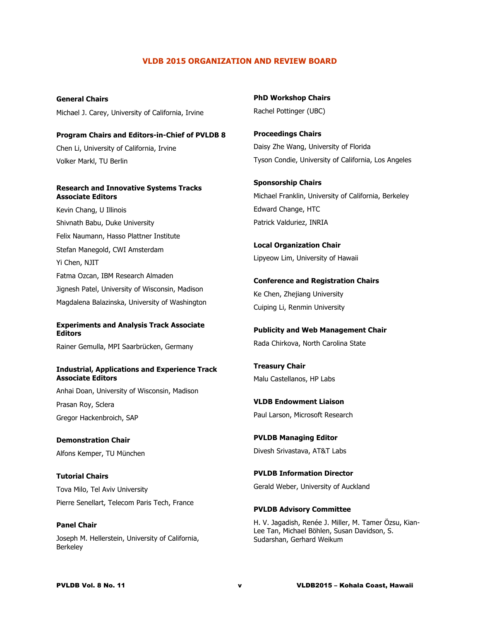#### **VLDB 2015 ORGANIZATION AND REVIEW BOARD**

**General Chairs** Michael J. Carey, University of California, Irvine

**Program Chairs and Editors-in-Chief of PVLDB 8** Chen Li, University of California, Irvine Volker Markl, TU Berlin

#### **Research and Innovative Systems Tracks Associate Editors**

Kevin Chang, U Illinois Shivnath Babu, Duke University Felix Naumann, Hasso Plattner Institute Stefan Manegold, CWI Amsterdam Yi Chen, NJIT Fatma Ozcan, IBM Research Almaden Jignesh Patel, University of Wisconsin, Madison Magdalena Balazinska, University of Washington

#### **Experiments and Analysis Track Associate Editors**

Rainer Gemulla, MPI Saarbrücken, Germany

#### **Industrial, Applications and Experience Track Associate Editors**

Anhai Doan, University of Wisconsin, Madison Prasan Roy, Sclera Gregor Hackenbroich, SAP

**Demonstration Chair** Alfons Kemper, TU München

**Tutorial Chairs** Tova Milo, Tel Aviv University Pierre Senellart, Telecom Paris Tech, France

**Panel Chair** Joseph M. Hellerstein, University of California, Berkeley

**PhD Workshop Chairs** Rachel Pottinger (UBC)

**Proceedings Chairs** Daisy Zhe Wang, University of Florida Tyson Condie, University of California, Los Angeles

**Sponsorship Chairs** Michael Franklin, University of California, Berkeley Edward Change, HTC Patrick Valduriez, INRIA

**Local Organization Chair** Lipyeow Lim, University of Hawaii

**Conference and Registration Chairs** Ke Chen, Zhejiang University Cuiping Li, Renmin University

**Publicity and Web Management Chair** Rada Chirkova, North Carolina State

**Treasury Chair** Malu Castellanos, HP Labs

**VLDB Endowment Liaison** Paul Larson, Microsoft Research

**PVLDB Managing Editor** Divesh Srivastava, AT&T Labs

**PVLDB Information Director** Gerald Weber, University of Auckland

**PVLDB Advisory Committee**

H. V. Jagadish, Renée J. Miller, M. Tamer Özsu, Kian-Lee Tan, Michael Böhlen, Susan Davidson, S. Sudarshan, Gerhard Weikum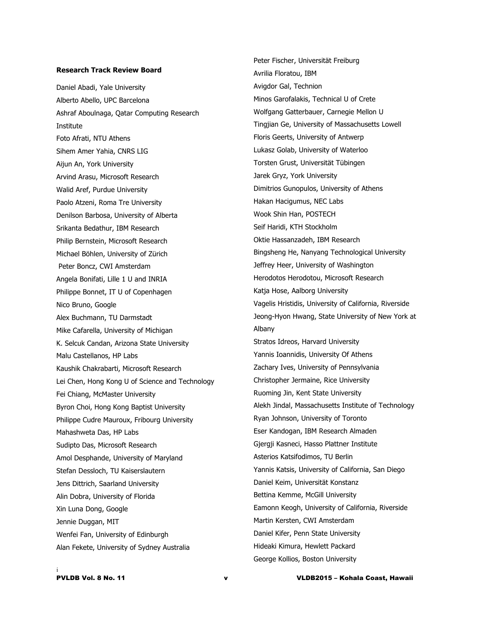#### **Research Track Review Board**

Daniel Abadi, Yale University Alberto Abello, UPC Barcelona Ashraf Aboulnaga, Qatar Computing Research Institute Foto Afrati, NTU Athens Sihem Amer Yahia, CNRS LIG Aijun An, York University Arvind Arasu, Microsoft Research Walid Aref, Purdue University Paolo Atzeni, Roma Tre University Denilson Barbosa, University of Alberta Srikanta Bedathur, IBM Research Philip Bernstein, Microsoft Research Michael Böhlen, University of Zürich Peter Boncz, CWI Amsterdam Angela Bonifati, Lille 1 U and INRIA Philippe Bonnet, IT U of Copenhagen Nico Bruno, Google Alex Buchmann, TU Darmstadt Mike Cafarella, University of Michigan K. Selcuk Candan, Arizona State University Malu Castellanos, HP Labs Kaushik Chakrabarti, Microsoft Research Lei Chen, Hong Kong U of Science and Technology Fei Chiang, McMaster University Byron Choi, Hong Kong Baptist University Philippe Cudre Mauroux, Fribourg University Mahashweta Das, HP Labs Sudipto Das, Microsoft Research Amol Desphande, University of Maryland Stefan Dessloch, TU Kaiserslautern Jens Dittrich, Saarland University Alin Dobra, University of Florida Xin Luna Dong, Google Jennie Duggan, MIT Wenfei Fan, University of Edinburgh Alan Fekete, University of Sydney Australia

Peter Fischer, Universität Freiburg Avrilia Floratou, IBM Avigdor Gal, Technion Minos Garofalakis, Technical U of Crete Wolfgang Gatterbauer, Carnegie Mellon U Tingjian Ge, University of Massachusetts Lowell Floris Geerts, University of Antwerp Lukasz Golab, University of Waterloo Torsten Grust, Universität Tübingen Jarek Gryz, York University Dimitrios Gunopulos, University of Athens Hakan Hacigumus, NEC Labs Wook Shin Han, POSTECH Seif Haridi, KTH Stockholm Oktie Hassanzadeh, IBM Research Bingsheng He, Nanyang Technological University Jeffrey Heer, University of Washington Herodotos Herodotou, Microsoft Research Katja Hose, Aalborg University Vagelis Hristidis, University of California, Riverside Jeong-Hyon Hwang, State University of New York at Albany Stratos Idreos, Harvard University Yannis Ioannidis, University Of Athens Zachary Ives, University of Pennsylvania Christopher Jermaine, Rice University Ruoming Jin, Kent State University Alekh Jindal, Massachusetts Institute of Technology Ryan Johnson, University of Toronto Eser Kandogan, IBM Research Almaden Gjergji Kasneci, Hasso Plattner Institute Asterios Katsifodimos, TU Berlin Yannis Katsis, University of California, San Diego Daniel Keim, Universität Konstanz Bettina Kemme, McGill University Eamonn Keogh, University of California, Riverside Martin Kersten, CWI Amsterdam Daniel Kifer, Penn State University Hideaki Kimura, Hewlett Packard George Kollios, Boston University

i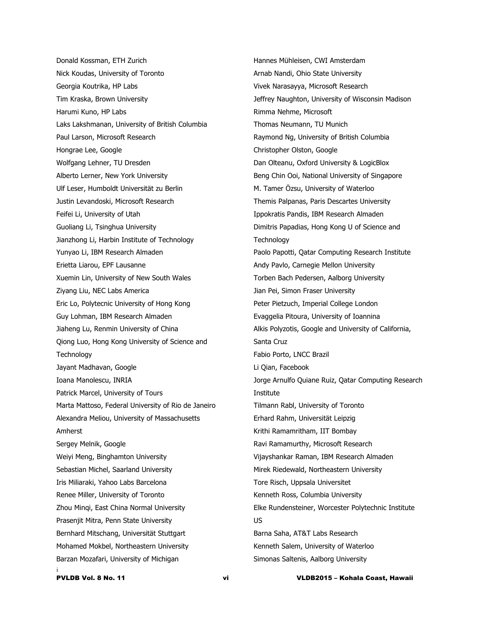i Donald Kossman, ETH Zurich Nick Koudas, University of Toronto Georgia Koutrika, HP Labs Tim Kraska, Brown University Harumi Kuno, HP Labs Laks Lakshmanan, University of British Columbia Paul Larson, Microsoft Research Hongrae Lee, Google Wolfgang Lehner, TU Dresden Alberto Lerner, New York University Ulf Leser, Humboldt Universität zu Berlin Justin Levandoski, Microsoft Research Feifei Li, University of Utah Guoliang Li, Tsinghua University Jianzhong Li, Harbin Institute of Technology Yunyao Li, IBM Research Almaden Erietta Liarou, EPF Lausanne Xuemin Lin, University of New South Wales Ziyang Liu, NEC Labs America Eric Lo, Polytecnic University of Hong Kong Guy Lohman, IBM Research Almaden Jiaheng Lu, Renmin University of China Qiong Luo, Hong Kong University of Science and **Technology** Jayant Madhavan, Google Ioana Manolescu, INRIA Patrick Marcel, University of Tours Marta Mattoso, Federal University of Rio de Janeiro Alexandra Meliou, University of Massachusetts Amherst Sergey Melnik, Google Weiyi Meng, Binghamton University Sebastian Michel, Saarland University Iris Miliaraki, Yahoo Labs Barcelona Renee Miller, University of Toronto Zhou Minqi, East China Normal University Prasenjit Mitra, Penn State University Bernhard Mitschang, Universität Stuttgart Mohamed Mokbel, Northeastern University Barzan Mozafari, University of Michigan

Hannes Mühleisen, CWI Amsterdam Arnab Nandi, Ohio State University Vivek Narasayya, Microsoft Research Jeffrey Naughton, University of Wisconsin Madison Rimma Nehme, Microsoft Thomas Neumann, TU Munich Raymond Ng, University of British Columbia Christopher Olston, Google Dan Olteanu, Oxford University & LogicBlox Beng Chin Ooi, National University of Singapore M. Tamer Özsu, University of Waterloo Themis Palpanas, Paris Descartes University Ippokratis Pandis, IBM Research Almaden Dimitris Papadias, Hong Kong U of Science and **Technology** Paolo Papotti, Qatar Computing Research Institute Andy Pavlo, Carnegie Mellon University Torben Bach Pedersen, Aalborg University Jian Pei, Simon Fraser University Peter Pietzuch, Imperial College London Evaggelia Pitoura, University of Ioannina Alkis Polyzotis, Google and University of California, Santa Cruz Fabio Porto, LNCC Brazil Li Qian, Facebook Jorge Arnulfo Quiane Ruiz, Qatar Computing Research Institute Tilmann Rabl, University of Toronto Erhard Rahm, Universität Leipzig Krithi Ramamritham, IIT Bombay Ravi Ramamurthy, Microsoft Research Vijayshankar Raman, IBM Research Almaden Mirek Riedewald, Northeastern University Tore Risch, Uppsala Universitet Kenneth Ross, Columbia University Elke Rundensteiner, Worcester Polytechnic Institute US Barna Saha, AT&T Labs Research Kenneth Salem, University of Waterloo Simonas Saltenis, Aalborg University

PVLDB Vol. 8 No. 11 vi VLDB2015 – Kohala Coast, Hawaii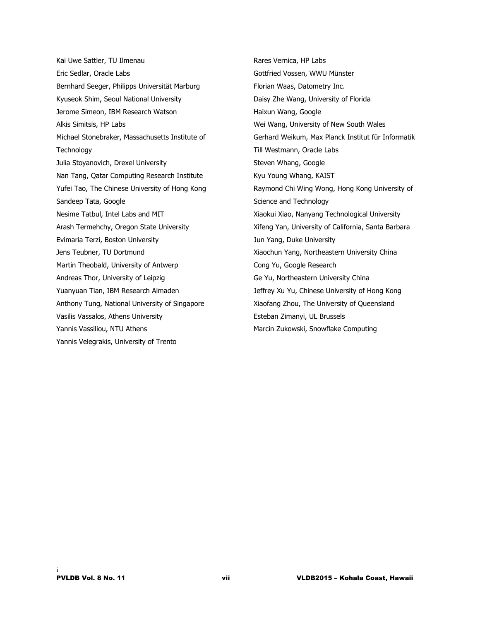Kai Uwe Sattler, TU Ilmenau Eric Sedlar, Oracle Labs Bernhard Seeger, Philipps Universität Marburg Kyuseok Shim, Seoul National University Jerome Simeon, IBM Research Watson Alkis Simitsis, HP Labs Michael Stonebraker, Massachusetts Institute of **Technology** Julia Stoyanovich, Drexel University Nan Tang, Qatar Computing Research Institute Yufei Tao, The Chinese University of Hong Kong Sandeep Tata, Google Nesime Tatbul, Intel Labs and MIT Arash Termehchy, Oregon State University Evimaria Terzi, Boston University Jens Teubner, TU Dortmund Martin Theobald, University of Antwerp Andreas Thor, University of Leipzig Yuanyuan Tian, IBM Research Almaden Anthony Tung, National University of Singapore Vasilis Vassalos, Athens University Yannis Vassiliou, NTU Athens Yannis Velegrakis, University of Trento

Rares Vernica, HP Labs Gottfried Vossen, WWU Münster Florian Waas, Datometry Inc. Daisy Zhe Wang, University of Florida Haixun Wang, Google Wei Wang, University of New South Wales Gerhard Weikum, Max Planck Institut für Informatik Till Westmann, Oracle Labs Steven Whang, Google Kyu Young Whang, KAIST Raymond Chi Wing Wong, Hong Kong University of Science and Technology Xiaokui Xiao, Nanyang Technological University Xifeng Yan, University of California, Santa Barbara Jun Yang, Duke University Xiaochun Yang, Northeastern University China Cong Yu, Google Research Ge Yu, Northeastern University China Jeffrey Xu Yu, Chinese University of Hong Kong Xiaofang Zhou, The University of Queensland Esteban Zimanyi, UL Brussels Marcin Zukowski, Snowflake Computing

i